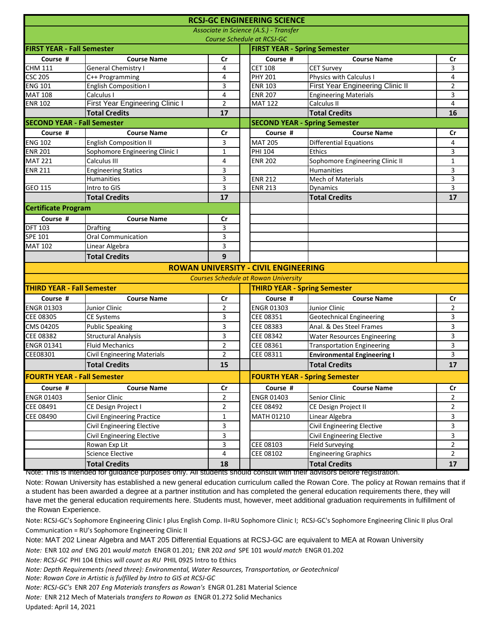|                                    |                                                                                                                         |                |  | <b>RCSJ-GC ENGINEERING SCIENCE</b>          |                                    |                |  |
|------------------------------------|-------------------------------------------------------------------------------------------------------------------------|----------------|--|---------------------------------------------|------------------------------------|----------------|--|
|                                    |                                                                                                                         |                |  | Associate in Science (A.S.) - Transfer      |                                    |                |  |
|                                    |                                                                                                                         |                |  | <b>Course Schedule at RCSJ-GC</b>           |                                    |                |  |
| <b>FIRST YEAR - Fall Semester</b>  |                                                                                                                         |                |  | <b>FIRST YEAR - Spring Semester</b>         |                                    |                |  |
| Course #                           | <b>Course Name</b>                                                                                                      | Cr             |  | Course #                                    | <b>Course Name</b>                 | Cr             |  |
| <b>CHM 111</b>                     | <b>General Chemistry I</b>                                                                                              | 4              |  | <b>CET 108</b>                              | <b>CET Survey</b>                  | 3              |  |
| <b>CSC 205</b>                     | C++ Programming                                                                                                         | 4              |  | <b>PHY 201</b>                              | Physics with Calculus I            | $\overline{4}$ |  |
| <b>ENG 101</b>                     | <b>English Composition I</b>                                                                                            | 3              |  | <b>ENR 103</b>                              | First Year Engineering Clinic II   | $\overline{2}$ |  |
| <b>MAT 108</b>                     | Calculus I                                                                                                              | 4              |  | <b>ENR 207</b>                              | <b>Engineering Materials</b>       | 3              |  |
| <b>ENR 102</b>                     | <b>First Year Engineering Clinic I</b>                                                                                  | $\overline{2}$ |  | <b>MAT 122</b>                              | Calculus II                        | 4              |  |
|                                    | <b>Total Credits</b>                                                                                                    | 17             |  |                                             | <b>Total Credits</b>               | 16             |  |
| <b>SECOND YEAR - Fall Semester</b> |                                                                                                                         |                |  | <b>SECOND YEAR - Spring Semester</b>        |                                    |                |  |
| Course #                           | <b>Course Name</b>                                                                                                      | Cr             |  | Course #                                    | <b>Course Name</b>                 | Cr             |  |
| <b>ENG 102</b>                     | <b>English Composition II</b>                                                                                           | 3              |  | <b>MAT 205</b>                              | <b>Differential Equations</b>      | 4              |  |
| <b>ENR 201</b>                     | Sophomore Engineering Clinic I                                                                                          | $\mathbf{1}$   |  | <b>PHI 104</b>                              | <b>Ethics</b>                      | 3              |  |
| <b>MAT 221</b>                     | Calculus III                                                                                                            | 4              |  | <b>ENR 202</b>                              | Sophomore Engineering Clinic II    | $\mathbf{1}$   |  |
| <b>ENR 211</b>                     | <b>Engineering Statics</b>                                                                                              | 3              |  |                                             | <b>Humanities</b>                  | 3              |  |
|                                    | Humanities                                                                                                              | 3              |  | <b>ENR 212</b>                              | <b>Mech of Materials</b>           | 3              |  |
| GEO 115                            | Intro to GIS                                                                                                            | 3              |  | <b>ENR 213</b>                              | <b>Dynamics</b>                    | $\overline{3}$ |  |
|                                    | <b>Total Credits</b>                                                                                                    | 17             |  |                                             | <b>Total Credits</b>               | 17             |  |
| <b>Certificate Program</b>         |                                                                                                                         |                |  |                                             |                                    |                |  |
| Course #                           | <b>Course Name</b>                                                                                                      | Cr             |  |                                             |                                    |                |  |
| <b>DFT 103</b>                     | Drafting                                                                                                                | 3              |  |                                             |                                    |                |  |
| SPE 101                            | Oral Communication                                                                                                      | 3              |  |                                             |                                    |                |  |
| <b>MAT 102</b>                     | Linear Algebra                                                                                                          | 3              |  |                                             |                                    |                |  |
|                                    | <b>Total Credits</b>                                                                                                    | 9              |  |                                             |                                    |                |  |
|                                    |                                                                                                                         |                |  | <b>ROWAN UNIVERSITY - CIVIL ENGINEERING</b> |                                    |                |  |
|                                    |                                                                                                                         |                |  | <b>Courses Schedule at Rowan University</b> |                                    |                |  |
| <b>THIRD YEAR - Fall Semester</b>  |                                                                                                                         |                |  | <b>THIRD YEAR - Spring Semester</b>         |                                    |                |  |
| Course #                           | <b>Course Name</b>                                                                                                      | Cr             |  | Course #                                    | <b>Course Name</b>                 | Cr             |  |
| <b>ENGR 01303</b>                  | Junior Clinic                                                                                                           | $\overline{2}$ |  | <b>ENGR 01303</b>                           | Junior Clinic                      | $\overline{2}$ |  |
| CEE 08305                          | <b>CE Systems</b>                                                                                                       | 3              |  | CEE 08351                                   | <b>Geotechnical Engineering</b>    | 3              |  |
| CMS 04205                          | <b>Public Speaking</b>                                                                                                  | 3              |  | CEE 08383                                   | Anal. & Des Steel Frames           | 3              |  |
| CEE 08382                          | <b>Structural Analysis</b>                                                                                              | 3              |  | CEE 08342                                   | <b>Water Resources Engineering</b> | 3              |  |
| <b>ENGR 01341</b>                  | <b>Fluid Mechanics</b>                                                                                                  | $\overline{2}$ |  | CEE 08361                                   | <b>Transportation Engineering</b>  | 3              |  |
| CEE08301                           | <b>Civil Engineering Materials</b>                                                                                      | $\overline{2}$ |  | CEE 08311                                   | <b>Environmental Engineering I</b> | 3              |  |
|                                    | <b>Total Credits</b>                                                                                                    | 15             |  |                                             | <b>Total Credits</b>               | 17             |  |
| <b>FOURTH YEAR - Fall Semester</b> |                                                                                                                         |                |  | <b>FOURTH YEAR - Spring Semester</b>        |                                    |                |  |
| Course #                           | <b>Course Name</b>                                                                                                      | $\mathsf{Cr}$  |  | Course #                                    | <b>Course Name</b>                 | cr             |  |
| <b>ENGR 01403</b>                  | Senior Clinic                                                                                                           | $\overline{2}$ |  | <b>ENGR 01403</b>                           | Senior Clinic                      | 2              |  |
| CEE 08491                          | CE Design Project I                                                                                                     | $\overline{a}$ |  | CEE 08492                                   | CE Design Project II               | 2              |  |
| CEE 08490                          | Civil Engineering Practice                                                                                              | 1              |  | MATH 01210                                  | Linear Algebra                     | 3              |  |
|                                    | Civil Engineering Elective                                                                                              | 3              |  |                                             | <b>Civil Engineering Elective</b>  | 3              |  |
|                                    | Civil Engineering Elective                                                                                              | 3              |  |                                             | <b>Civil Engineering Elective</b>  | 3              |  |
|                                    | Rowan Exp Lit                                                                                                           | 3              |  | CEE 08103                                   | <b>Field Surveying</b>             | $\overline{2}$ |  |
|                                    | Science Elective                                                                                                        | 4              |  | CEE 08102                                   | <b>Engineering Graphics</b>        | $\overline{2}$ |  |
|                                    | <b>Total Credits</b>                                                                                                    | 18             |  |                                             | <b>Total Credits</b>               | 17             |  |
|                                    | TNOTE: This is intended for quidance purposes only. All students should consult with their advisors before registration |                |  |                                             |                                    |                |  |

 $\mu$ poses only. All students should consult with their advisors before re

Note: Rowan University has established a new general education curriculum called the Rowan Core. The policy at Rowan remains that if a student has been awarded a degree at a partner institution and has completed the general education requirements there, they will have met the general education requirements here. Students must, however, meet additional graduation requirements in fulfillment of the Rowan Experience.

Note: RCSJ-GC's Sophomore Engineering Clinic I plus English Comp. II=RU Sophomore Clinic I; RCSJ-GC's Sophomore Engineering Clinic II plus Oral Communication = RU's Sophomore Engineering Clinic II

Note: MAT 202 Linear Algebra and MAT 205 Differential Equations at RCSJ-GC are equivalent to MEA at Rowan University

*Note:* ENR 102 *and* ENG 201 *would match* ENGR 01.201*;* ENR 202 *and* SPE 101 *would match* ENGR 01.202

*Note: RCSJ-GC* PHI 104 Ethics *will count as RU* PHIL 0925 Intro to Ethics

*Note: Depth Requirements (need three): Environmental, Water Resources, Transportation, or Geotechnical*

*Note: Rowan Core in Artistic is fulfilled by Intro to GIS at RCSJ-GC*

*Note: RCSJ-GC's* ENR 207 *Eng Materials transfers as Rowan's* ENGR 01.281 Material Science

*Note:* ENR 212 Mech of Materials *transfers to Rowan as* ENGR 01.272 Solid Mechanics

Updated: April 14, 2021